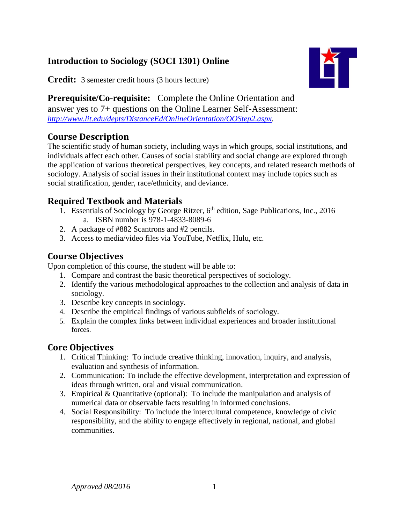## **Introduction to Sociology (SOCI 1301) Online**

**Credit:** 3 semester credit hours (3 hours lecture)

**Prerequisite/Co-requisite:** Complete the Online Orientation and answer yes to 7+ questions on the Online Learner Self-Assessment: *[http://www.lit.edu/depts/DistanceEd/OnlineOrientation/OOStep2.aspx.](http://www.lit.edu/depts/DistanceEd/OnlineOrientation/OOStep2.aspx)*

# **Course Description**

The scientific study of human society, including ways in which groups, social institutions, and individuals affect each other. Causes of social stability and social change are explored through the application of various theoretical perspectives, key concepts, and related research methods of sociology. Analysis of social issues in their institutional context may include topics such as social stratification, gender, race/ethnicity, and deviance.

## **Required Textbook and Materials**

- 1. Essentials of Sociology by George Ritzer,  $6<sup>th</sup>$  edition, Sage Publications, Inc., 2016 a. ISBN number is 978-1-4833-8089-6
- 2. A package of #882 Scantrons and #2 pencils.
- 3. Access to media/video files via YouTube, Netflix, Hulu, etc.

# **Course Objectives**

Upon completion of this course, the student will be able to:

- 1. Compare and contrast the basic theoretical perspectives of sociology.
- 2. Identify the various methodological approaches to the collection and analysis of data in sociology.
- 3. Describe key concepts in sociology.
- 4. Describe the empirical findings of various subfields of sociology.
- 5. Explain the complex links between individual experiences and broader institutional forces.

# **Core Objectives**

- 1. Critical Thinking: To include creative thinking, innovation, inquiry, and analysis, evaluation and synthesis of information.
- 2. Communication: To include the effective development, interpretation and expression of ideas through written, oral and visual communication.
- 3. Empirical & Quantitative (optional): To include the manipulation and analysis of numerical data or observable facts resulting in informed conclusions.
- 4. Social Responsibility: To include the intercultural competence, knowledge of civic responsibility, and the ability to engage effectively in regional, national, and global communities.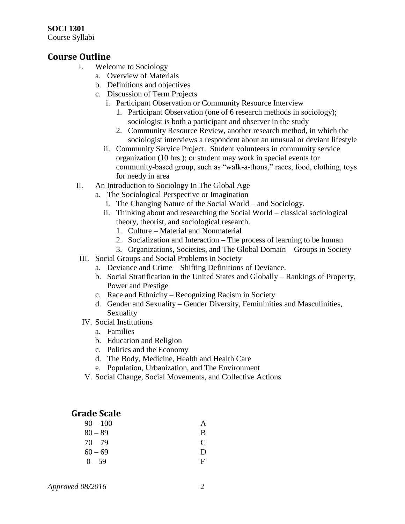#### **SOCI 1301**

Course Syllabi

#### **Course Outline**

- I. Welcome to Sociology
	- a. Overview of Materials
	- b. Definitions and objectives
	- c. Discussion of Term Projects
		- i. Participant Observation or Community Resource Interview
			- 1. Participant Observation (one of 6 research methods in sociology); sociologist is both a participant and observer in the study
			- 2. Community Resource Review, another research method, in which the sociologist interviews a respondent about an unusual or deviant lifestyle
		- ii. Community Service Project. Student volunteers in community service organization (10 hrs.); or student may work in special events for community-based group, such as "walk-a-thons," races, food, clothing, toys for needy in area
- II. An Introduction to Sociology In The Global Age
	- a. The Sociological Perspective or Imagination
		- i. The Changing Nature of the Social World and Sociology.
		- ii. Thinking about and researching the Social World classical sociological theory, theorist, and sociological research.
			- 1. Culture Material and Nonmaterial
			- 2. Socialization and Interaction The process of learning to be human
			- 3. Organizations, Societies, and The Global Domain Groups in Society
	- III. Social Groups and Social Problems in Society
		- a. Deviance and Crime Shifting Definitions of Deviance.
		- b. Social Stratification in the United States and Globally Rankings of Property, Power and Prestige
		- c. Race and Ethnicity Recognizing Racism in Society
		- d. Gender and Sexuality Gender Diversity, Femininities and Masculinities, Sexuality
	- IV. Social Institutions
		- a. Families
		- b. Education and Religion
		- c. Politics and the Economy
		- d. The Body, Medicine, Health and Health Care
		- e. Population, Urbanization, and The Environment
	- V. Social Change, Social Movements, and Collective Actions

### **Grade Scale**

| $90 - 100$ |              |
|------------|--------------|
| $80 - 89$  | B            |
| $70 - 79$  | C            |
| $60 - 69$  | $\mathbf{D}$ |
| $0 - 59$   | F            |

*Approved 08/2016* 2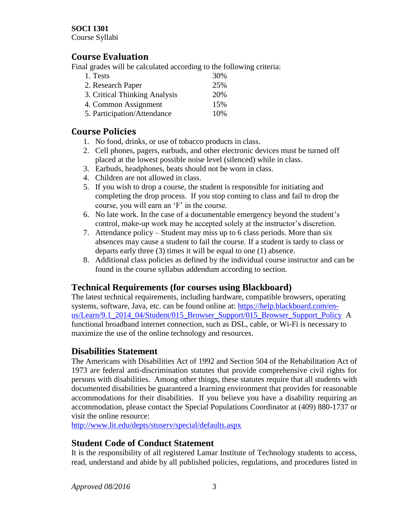#### **SOCI 1301**

Course Syllabi

### **Course Evaluation**

Final grades will be calculated according to the following criteria:

| 1. Tests                      | 30% |
|-------------------------------|-----|
| 2. Research Paper             | 25% |
| 3. Critical Thinking Analysis | 20% |
| 4. Common Assignment          | 15% |
| 5. Participation/Attendance   | 10% |

### **Course Policies**

- 1. No food, drinks, or use of tobacco products in class.
- 2. Cell phones, pagers, earbuds, and other electronic devices must be turned off placed at the lowest possible noise level (silenced) while in class.
- 3. Earbuds, headphones, beats should not be worn in class.
- 4. Children are not allowed in class.
- 5. If you wish to drop a course, the student is responsible for initiating and completing the drop process. If you stop coming to class and fail to drop the course, you will earn an 'F' in the course.
- 6. No late work. In the case of a documentable emergency beyond the student's control, make-up work may be accepted solely at the instructor's discretion.
- 7. Attendance policy Student may miss up to 6 class periods. More than six absences may cause a student to fail the course. If a student is tardy to class or departs early three (3) times it will be equal to one (1) absence.
- 8. Additional class policies as defined by the individual course instructor and can be found in the course syllabus addendum according to section.

### **Technical Requirements (for courses using Blackboard)**

The latest technical requirements, including hardware, compatible browsers, operating systems, software, Java, etc. can be found online at: [https://help.blackboard.com/en](https://help.blackboard.com/en-us/Learn/9.1_2014_04/Student/015_Browser_Support/015_Browser_Support_Policy)[us/Learn/9.1\\_2014\\_04/Student/015\\_Browser\\_Support/015\\_Browser\\_Support\\_Policy](https://help.blackboard.com/en-us/Learn/9.1_2014_04/Student/015_Browser_Support/015_Browser_Support_Policy) A functional broadband internet connection, such as DSL, cable, or Wi-Fi is necessary to maximize the use of the online technology and resources.

### **Disabilities Statement**

The Americans with Disabilities Act of 1992 and Section 504 of the Rehabilitation Act of 1973 are federal anti-discrimination statutes that provide comprehensive civil rights for persons with disabilities. Among other things, these statutes require that all students with documented disabilities be guaranteed a learning environment that provides for reasonable accommodations for their disabilities. If you believe you have a disability requiring an accommodation, please contact the Special Populations Coordinator at (409) 880-1737 or visit the online resource:

<http://www.lit.edu/depts/stuserv/special/defaults.aspx>

### **Student Code of Conduct Statement**

It is the responsibility of all registered Lamar Institute of Technology students to access, read, understand and abide by all published policies, regulations, and procedures listed in